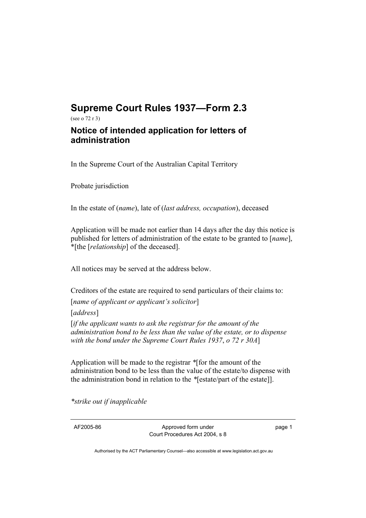## **Supreme Court Rules 1937—Form 2.3**  (see o 72 r 3)

## **Notice of intended application for letters of administration**

In the Supreme Court of the Australian Capital Territory

Probate jurisdiction

In the estate of (*name*), late of (*last address, occupation*), deceased

Application will be made not earlier than 14 days after the day this notice is published for letters of administration of the estate to be granted to [*name*], \*[the [*relationship*] of the deceased].

All notices may be served at the address below.

Creditors of the estate are required to send particulars of their claims to:

[*name of applicant or applicant's solicitor*]

[*address*]

[*if the applicant wants to ask the registrar for the amount of the administration bond to be less than the value of the estate, or to dispense with the bond under the Supreme Court Rules 1937*, *o 72 r 30A*]

Application will be made to the registrar *\**[for the amount of the administration bond to be less than the value of the estate/to dispense with the administration bond in relation to the *\**[estate/part of the estate]].

*\*strike out if inapplicable* 

AF2005-86 Approved form under Court Procedures Act 2004, s 8 page 1

Authorised by the ACT Parliamentary Counsel—also accessible at www.legislation.act.gov.au